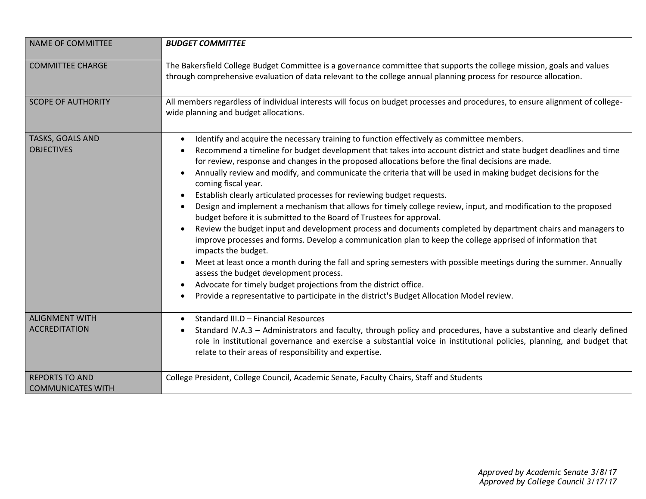| <b>NAME OF COMMITTEE</b>                          | <b>BUDGET COMMITTEE</b>                                                                                                                                                                                                                                                                                                                                                                                                                                                                                                                                                                                                                                                                                                                                                                                                                                                                                                                                                                                                                                                                                                                                                                                                                                                                                                            |
|---------------------------------------------------|------------------------------------------------------------------------------------------------------------------------------------------------------------------------------------------------------------------------------------------------------------------------------------------------------------------------------------------------------------------------------------------------------------------------------------------------------------------------------------------------------------------------------------------------------------------------------------------------------------------------------------------------------------------------------------------------------------------------------------------------------------------------------------------------------------------------------------------------------------------------------------------------------------------------------------------------------------------------------------------------------------------------------------------------------------------------------------------------------------------------------------------------------------------------------------------------------------------------------------------------------------------------------------------------------------------------------------|
| <b>COMMITTEE CHARGE</b>                           | The Bakersfield College Budget Committee is a governance committee that supports the college mission, goals and values<br>through comprehensive evaluation of data relevant to the college annual planning process for resource allocation.                                                                                                                                                                                                                                                                                                                                                                                                                                                                                                                                                                                                                                                                                                                                                                                                                                                                                                                                                                                                                                                                                        |
| <b>SCOPE OF AUTHORITY</b>                         | All members regardless of individual interests will focus on budget processes and procedures, to ensure alignment of college-<br>wide planning and budget allocations.                                                                                                                                                                                                                                                                                                                                                                                                                                                                                                                                                                                                                                                                                                                                                                                                                                                                                                                                                                                                                                                                                                                                                             |
| TASKS, GOALS AND<br><b>OBJECTIVES</b>             | Identify and acquire the necessary training to function effectively as committee members.<br>$\bullet$<br>Recommend a timeline for budget development that takes into account district and state budget deadlines and time<br>for review, response and changes in the proposed allocations before the final decisions are made.<br>Annually review and modify, and communicate the criteria that will be used in making budget decisions for the<br>coming fiscal year.<br>Establish clearly articulated processes for reviewing budget requests.<br>Design and implement a mechanism that allows for timely college review, input, and modification to the proposed<br>budget before it is submitted to the Board of Trustees for approval.<br>Review the budget input and development process and documents completed by department chairs and managers to<br>improve processes and forms. Develop a communication plan to keep the college apprised of information that<br>impacts the budget.<br>Meet at least once a month during the fall and spring semesters with possible meetings during the summer. Annually<br>assess the budget development process.<br>Advocate for timely budget projections from the district office.<br>Provide a representative to participate in the district's Budget Allocation Model review. |
| <b>ALIGNMENT WITH</b><br><b>ACCREDITATION</b>     | Standard III.D - Financial Resources<br>Standard IV.A.3 - Administrators and faculty, through policy and procedures, have a substantive and clearly defined<br>role in institutional governance and exercise a substantial voice in institutional policies, planning, and budget that<br>relate to their areas of responsibility and expertise.                                                                                                                                                                                                                                                                                                                                                                                                                                                                                                                                                                                                                                                                                                                                                                                                                                                                                                                                                                                    |
| <b>REPORTS TO AND</b><br><b>COMMUNICATES WITH</b> | College President, College Council, Academic Senate, Faculty Chairs, Staff and Students                                                                                                                                                                                                                                                                                                                                                                                                                                                                                                                                                                                                                                                                                                                                                                                                                                                                                                                                                                                                                                                                                                                                                                                                                                            |